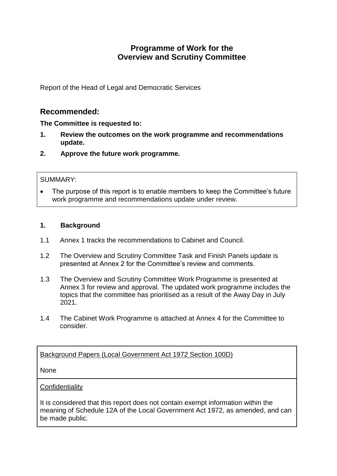# **Programme of Work for the Overview and Scrutiny Committee**

Report of the Head of Legal and Democratic Services

## **Recommended:**

**The Committee is requested to:**

- **1. Review the outcomes on the work programme and recommendations update.**
- **2. Approve the future work programme.**

#### SUMMARY:

 The purpose of this report is to enable members to keep the Committee's future work programme and recommendations update under review.

#### **1. Background**

- 1.1 Annex 1 tracks the recommendations to Cabinet and Council.
- 1.2 The Overview and Scrutiny Committee Task and Finish Panels update is presented at Annex 2 for the Committee's review and comments.
- 1.3 The Overview and Scrutiny Committee Work Programme is presented at Annex 3 for review and approval. The updated work programme includes the topics that the committee has prioritised as a result of the Away Day in July 2021.
- 1.4 The Cabinet Work Programme is attached at Annex 4 for the Committee to consider.

### Background Papers (Local Government Act 1972 Section 100D)

None

#### **Confidentiality**

It is considered that this report does not contain exempt information within the meaning of Schedule 12A of the Local Government Act 1972, as amended, and can be made public.